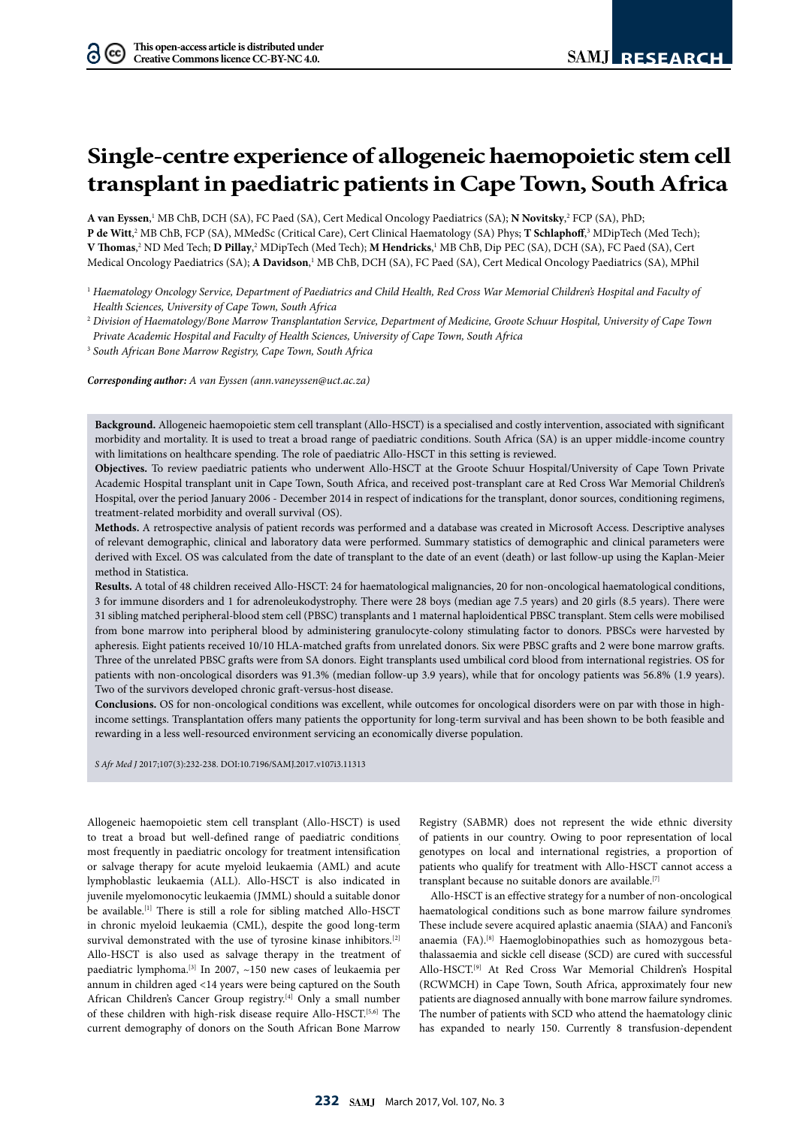# **Single-centre experience of allogeneic haemopoietic stem cell transplant in paediatric patients in Cape Town, South Africa**

**A van Eyssen**, 1 MB ChB, DCH (SA), FC Paed (SA), Cert Medical Oncology Paediatrics (SA); **N Novitsky**, 2 FCP (SA), PhD; **P de Witt**,? MB ChB, FCP (SA), MMedSc (Critical Care), Cert Clinical Haematology (SA) Phys; **T Schlaphof**f,<sup>3</sup> MDipTech (Med Tech); **V** Thomas,<sup>2</sup> ND Med Tech; **D Pillay**,<sup>2</sup> MDipTech (Med Tech); **M Hendricks**,<sup>1</sup> MB ChB, Dip PEC (SA), DCH (SA), FC Paed (SA), Cert Medical Oncology Paediatrics (SA); **A Davidson**, 1 MB ChB, DCH (SA), FC Paed (SA), Cert Medical Oncology Paediatrics (SA), MPhil

<sup>1</sup> Haematology Oncology Service, Department of Paediatrics and Child Health, Red Cross War Memorial Children's Hospital and Faculty of *Health Sciences, University of Cape Town, South Africa*

<sup>2</sup> *Division of Haematology/Bone Marrow Transplantation Service, Department of Medicine, Groote Schuur Hospital, University of Cape Town Private Academic Hospital and Faculty of Health Sciences, University of Cape Town, South Africa*

<sup>3</sup> *South African Bone Marrow Registry, Cape Town, South Africa*

*Corresponding author: A van Eyssen (ann.vaneyssen@uct.ac.za)*

**Background.** Allogeneic haemopoietic stem cell transplant (Allo-HSCT) is a specialised and costly intervention, associated with significant morbidity and mortality. It is used to treat a broad range of paediatric conditions. South Africa (SA) is an upper middle-income country with limitations on healthcare spending. The role of paediatric Allo-HSCT in this setting is reviewed.

**Objectives.** To review paediatric patients who underwent Allo-HSCT at the Groote Schuur Hospital/University of Cape Town Private Academic Hospital transplant unit in Cape Town, South Africa, and received post-transplant care at Red Cross War Memorial Children's Hospital, over the period January 2006 - December 2014 in respect of indications for the transplant, donor sources, conditioning regimens, treatment-related morbidity and overall survival (OS).

**Methods.** A retrospective analysis of patient records was performed and a database was created in Microsoft Access. Descriptive analyses of relevant demographic, clinical and laboratory data were performed. Summary statistics of demographic and clinical parameters were derived with Excel. OS was calculated from the date of transplant to the date of an event (death) or last follow-up using the Kaplan-Meier method in Statistica.

**Results.** A total of 48 children received Allo-HSCT: 24 for haematological malignancies, 20 for non-oncological haematological conditions, 3 for immune disorders and 1 for adrenoleukodystrophy. There were 28 boys (median age 7.5 years) and 20 girls (8.5 years). There were 31 sibling matched peripheral-blood stem cell (PBSC) transplants and 1 maternal haploidentical PBSC transplant. Stem cells were mobilised from bone marrow into peripheral blood by administering granulocyte-colony stimulating factor to donors. PBSCs were harvested by apheresis. Eight patients received 10/10 HLA-matched grafts from unrelated donors. Six were PBSC grafts and 2 were bone marrow grafts. Three of the unrelated PBSC grafts were from SA donors. Eight transplants used umbilical cord blood from international registries. OS for patients with non-oncological disorders was 91.3% (median follow-up 3.9 years), while that for oncology patients was 56.8% (1.9 years). Two of the survivors developed chronic graft-versus-host disease.

**Conclusions.** OS for non-oncological conditions was excellent, while outcomes for oncological disorders were on par with those in highincome settings. Transplantation offers many patients the opportunity for long-term survival and has been shown to be both feasible and rewarding in a less well-resourced environment servicing an economically diverse population.

*S Afr Med J* 2017;107(3):232-238. DOI:10.7196/SAMJ.2017.v107i3.11313

Allogeneic haemopoietic stem cell transplant (Allo-HSCT) is used to treat a broad but well-defined range of paediatric conditions most frequently in paediatric oncology for treatment intensification or salvage therapy for acute myeloid leukaemia (AML) and acute lymphoblastic leukaemia (ALL). Allo-HSCT is also indicated in juvenile myelomonocytic leukaemia (JMML) should a suitable donor be available.<sup>[1]</sup> There is still a role for sibling matched Allo-HSCT in chronic myeloid leukaemia (CML), despite the good long-term survival demonstrated with the use of tyrosine kinase inhibitors.<sup>[2]</sup> Allo-HSCT is also used as salvage therapy in the treatment of paediatric lymphoma.[3] In 2007, ~150 new cases of leukaemia per annum in children aged <14 years were being captured on the South African Children's Cancer Group registry.[4] Only a small number of these children with high-risk disease require Allo-HSCT.[5,6] The current demography of donors on the South African Bone Marrow

Registry (SABMR) does not represent the wide ethnic diversity of patients in our country. Owing to poor representation of local genotypes on local and international registries, a proportion of patients who qualify for treatment with Allo-HSCT cannot access a transplant because no suitable donors are available.[7]

Allo-HSCT is an effective strategy for a number of non-oncological haematological conditions such as bone marrow failure syndromes. These include severe acquired aplastic anaemia (SIAA) and Fanconi's anaemia (FA).<sup>[8]</sup> Haemoglobinopathies such as homozygous betathalassaemia and sickle cell disease (SCD) are cured with successful Allo-HSCT.[9] At Red Cross War Memorial Children's Hospital (RCWMCH) in Cape Town, South Africa, approximately four new patients are diagnosed annually with bone marrow failure syndromes. The number of patients with SCD who attend the haematology clinic has expanded to nearly 150. Currently 8 transfusion-dependent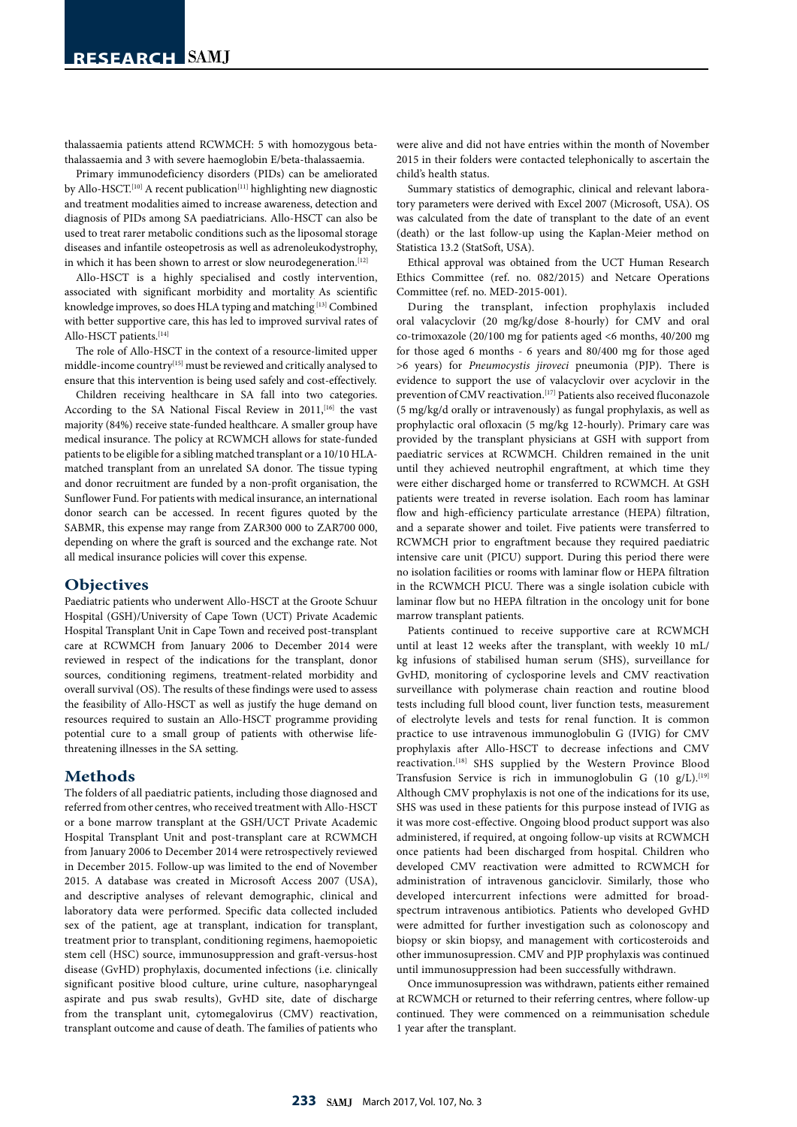thalassaemia patients attend RCWMCH: 5 with homozygous betathalassaemia and 3 with severe haemoglobin E/beta-thalassaemia.

Primary immunodeficiency disorders (PIDs) can be ameliorated by Allo-HSCT.<sup>[10]</sup> A recent publication<sup>[11]</sup> highlighting new diagnostic and treatment modalities aimed to increase awareness, detection and diagnosis of PIDs among SA paediatricians. Allo-HSCT can also be used to treat rarer metabolic conditions such as the liposomal storage diseases and infantile osteopetrosis as well as adrenoleukodystrophy, in which it has been shown to arrest or slow neurodegeneration.<sup>[12]</sup>

Allo-HSCT is a highly specialised and costly intervention, associated with significant morbidity and mortality As scientific knowledge improves, so does HLA typing and matching  $^{[13]}$  Combined with better supportive care, this has led to improved survival rates of Allo-HSCT patients.[14]

The role of Allo-HSCT in the context of a resource-limited upper middle-income country  $\rm ^{\rm [15]}$  must be reviewed and critically analysed to ensure that this intervention is being used safely and cost-effectively.

Children receiving healthcare in SA fall into two categories. According to the SA National Fiscal Review in 2011,<sup>[16]</sup> the vast majority (84%) receive state-funded healthcare. A smaller group have medical insurance. The policy at RCWMCH allows for state-funded patients to be eligible for a sibling matched transplant or a 10/10 HLAmatched transplant from an unrelated SA donor. The tissue typing and donor recruitment are funded by a non-profit organisation, the Sunflower Fund. For patients with medical insurance, an international donor search can be accessed. In recent figures quoted by the SABMR, this expense may range from ZAR300 000 to ZAR700 000, depending on where the graft is sourced and the exchange rate. Not all medical insurance policies will cover this expense.

### **Objectives**

Paediatric patients who underwent Allo-HSCT at the Groote Schuur Hospital (GSH)/University of Cape Town (UCT) Private Academic Hospital Transplant Unit in Cape Town and received post-transplant care at RCWMCH from January 2006 to December 2014 were reviewed in respect of the indications for the transplant, donor sources, conditioning regimens, treatment-related morbidity and overall survival (OS). The results of these findings were used to assess the feasibility of Allo-HSCT as well as justify the huge demand on resources required to sustain an Allo-HSCT programme providing potential cure to a small group of patients with otherwise lifethreatening illnesses in the SA setting.

## **Methods**

The folders of all paediatric patients, including those diagnosed and referred from other centres, who received treatment with Allo-HSCT or a bone marrow transplant at the GSH/UCT Private Academic Hospital Transplant Unit and post-transplant care at RCWMCH from January 2006 to December 2014 were retrospectively reviewed in December 2015. Follow-up was limited to the end of November 2015. A database was created in Microsoft Access 2007 (USA), and descriptive analyses of relevant demographic, clinical and laboratory data were performed. Specific data collected included sex of the patient, age at transplant, indication for transplant, treatment prior to transplant, conditioning regimens, haemopoietic stem cell (HSC) source, immunosuppression and graft-versus-host disease (GvHD) prophylaxis, documented infections (i.e. clinically significant positive blood culture, urine culture, nasopharyngeal aspirate and pus swab results), GvHD site, date of discharge from the transplant unit, cytomegalovirus (CMV) reactivation, transplant outcome and cause of death. The families of patients who

were alive and did not have entries within the month of November 2015 in their folders were contacted telephonically to ascertain the child's health status.

Summary statistics of demographic, clinical and relevant laboratory parameters were derived with Excel 2007 (Microsoft, USA). OS was calculated from the date of transplant to the date of an event (death) or the last follow-up using the Kaplan-Meier method on Statistica 13.2 (StatSoft, USA).

Ethical approval was obtained from the UCT Human Research Ethics Committee (ref. no. 082/2015) and Netcare Operations Committee (ref. no. MED-2015-001).

During the transplant, infection prophylaxis included oral valacyclovir (20 mg/kg/dose 8-hourly) for CMV and oral co-trimoxazole (20/100 mg for patients aged <6 months, 40/200 mg for those aged 6 months - 6 years and 80/400 mg for those aged >6 years) for *Pneumocystis jiroveci* pneumonia (PJP). There is evidence to support the use of valacyclovir over acyclovir in the prevention of CMV reactivation.<sup>[17]</sup> Patients also received fluconazole (5 mg/kg/d orally or intravenously) as fungal prophylaxis, as well as prophylactic oral ofloxacin (5 mg/kg 12-hourly). Primary care was provided by the transplant physicians at GSH with support from paediatric services at RCWMCH. Children remained in the unit until they achieved neutrophil engraftment, at which time they were either discharged home or transferred to RCWMCH. At GSH patients were treated in reverse isolation. Each room has laminar flow and high-efficiency particulate arrestance (HEPA) filtration, and a separate shower and toilet. Five patients were transferred to RCWMCH prior to engraftment because they required paediatric intensive care unit (PICU) support. During this period there were no isolation facilities or rooms with laminar flow or HEPA filtration in the RCWMCH PICU. There was a single isolation cubicle with laminar flow but no HEPA filtration in the oncology unit for bone marrow transplant patients.

Patients continued to receive supportive care at RCWMCH until at least 12 weeks after the transplant, with weekly 10 mL/ kg infusions of stabilised human serum (SHS), surveillance for GvHD, monitoring of cyclosporine levels and CMV reactivation surveillance with polymerase chain reaction and routine blood tests including full blood count, liver function tests, measurement of electrolyte levels and tests for renal function. It is common practice to use intravenous immunoglobulin G (IVIG) for CMV prophylaxis after Allo-HSCT to decrease infections and CMV reactivation.[18] SHS supplied by the Western Province Blood Transfusion Service is rich in immunoglobulin G (10 g/L).[19] Although CMV prophylaxis is not one of the indications for its use, SHS was used in these patients for this purpose instead of IVIG as it was more cost-effective. Ongoing blood product support was also administered, if required, at ongoing follow-up visits at RCWMCH once patients had been discharged from hospital. Children who developed CMV reactivation were admitted to RCWMCH for administration of intravenous ganciclovir. Similarly, those who developed intercurrent infections were admitted for broadspectrum intravenous antibiotics. Patients who developed GvHD were admitted for further investigation such as colonoscopy and biopsy or skin biopsy, and management with corticosteroids and other immunosupression. CMV and PJP prophylaxis was continued until immunosuppression had been successfully withdrawn.

Once immunosupression was withdrawn, patients either remained at RCWMCH or returned to their referring centres, where follow-up continued. They were commenced on a reimmunisation schedule 1 year after the transplant.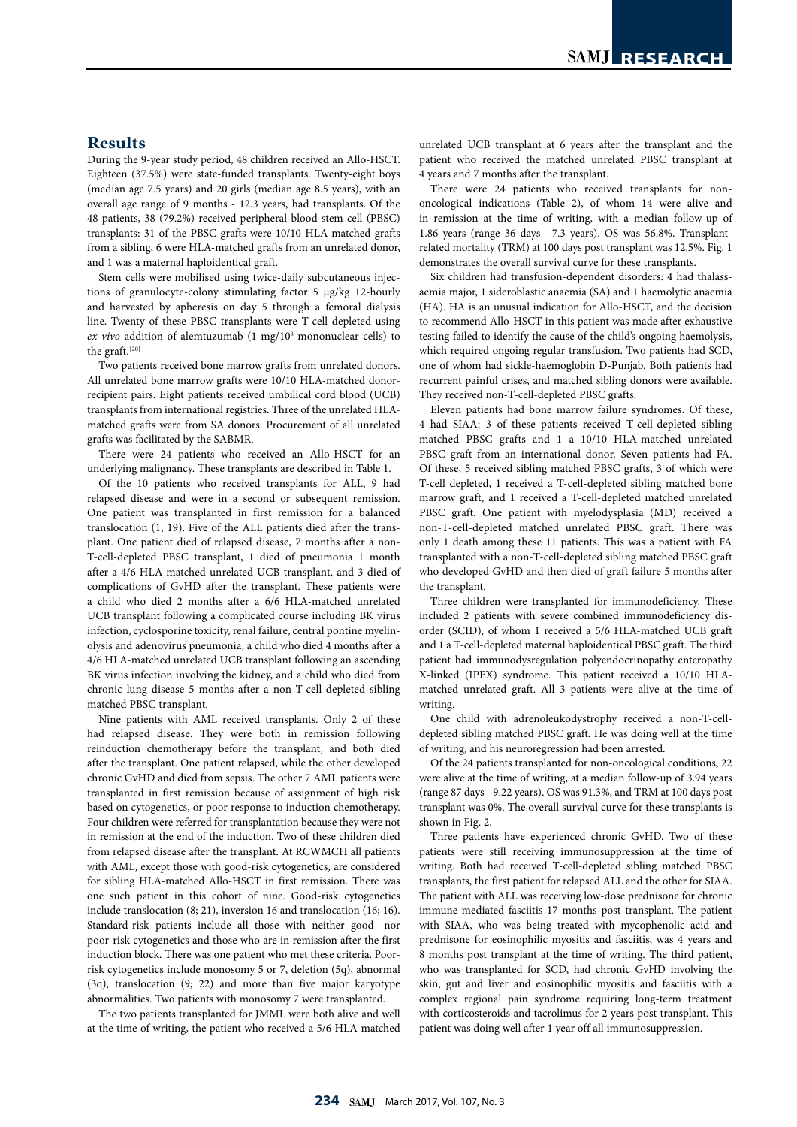# **Results**

During the 9-year study period, 48 children received an Allo-HSCT. Eighteen (37.5%) were state-funded transplants. Twenty-eight boys (median age 7.5 years) and 20 girls (median age 8.5 years), with an overall age range of 9 months - 12.3 years, had transplants. Of the 48 patients, 38 (79.2%) received peripheral-blood stem cell (PBSC) transplants: 31 of the PBSC grafts were 10/10 HLA-matched grafts from a sibling, 6 were HLA-matched grafts from an unrelated donor, and 1 was a maternal haploidentical graft.

Stem cells were mobilised using twice-daily subcutaneous injections of granulocyte-colony stimulating factor 5 µg/kg 12-hourly and harvested by apheresis on day 5 through a femoral dialysis line. Twenty of these PBSC transplants were T-cell depleted using ex vivo addition of alemtuzumab (1 mg/10<sup>8</sup> mononuclear cells) to the graft.<sup>[20]</sup>

Two patients received bone marrow grafts from unrelated donors. All unrelated bone marrow grafts were 10/10 HLA-matched donorrecipient pairs. Eight patients received umbilical cord blood (UCB) transplants from international registries. Three of the unrelated HLAmatched grafts were from SA donors. Procurement of all unrelated grafts was facilitated by the SABMR.

There were 24 patients who received an Allo-HSCT for an underlying malignancy. These transplants are described in Table 1.

Of the 10 patients who received transplants for ALL, 9 had relapsed disease and were in a second or subsequent remission. One patient was transplanted in first remission for a balanced translocation (1; 19). Five of the ALL patients died after the transplant. One patient died of relapsed disease, 7 months after a non-T-cell-depleted PBSC transplant, 1 died of pneumonia 1 month after a 4/6 HLA-matched unrelated UCB transplant, and 3 died of complications of GvHD after the transplant. These patients were a child who died 2 months after a 6/6 HLA-matched unrelated UCB transplant following a complicated course including BK virus infection, cyclosporine toxicity, renal failure, central pontine myelinolysis and adenovirus pneumonia, a child who died 4 months after a 4/6 HLA-matched unrelated UCB transplant following an ascending BK virus infection involving the kidney, and a child who died from chronic lung disease 5 months after a non-T-cell-depleted sibling matched PBSC transplant.

Nine patients with AML received transplants. Only 2 of these had relapsed disease. They were both in remission following reinduction chemotherapy before the transplant, and both died after the transplant. One patient relapsed, while the other developed chronic GvHD and died from sepsis. The other 7 AML patients were transplanted in first remission because of assignment of high risk based on cytogenetics, or poor response to induction chemotherapy. Four children were referred for transplantation because they were not in remission at the end of the induction. Two of these children died from relapsed disease after the transplant. At RCWMCH all patients with AML, except those with good-risk cytogenetics, are considered for sibling HLA-matched Allo-HSCT in first remission. There was one such patient in this cohort of nine. Good-risk cytogenetics include translocation (8; 21), inversion 16 and translocation (16; 16). Standard-risk patients include all those with neither good- nor poor-risk cytogenetics and those who are in remission after the first induction block. There was one patient who met these criteria. Poorrisk cytogenetics include monosomy 5 or 7, deletion (5q), abnormal (3q), translocation (9; 22) and more than five major karyotype abnormalities. Two patients with monosomy 7 were transplanted.

The two patients transplanted for JMML were both alive and well at the time of writing, the patient who received a 5/6 HLA-matched unrelated UCB transplant at 6 years after the transplant and the patient who received the matched unrelated PBSC transplant at 4 years and 7 months after the transplant.

There were 24 patients who received transplants for nononcological indications (Table 2), of whom 14 were alive and in remission at the time of writing, with a median follow-up of 1.86 years (range 36 days - 7.3 years). OS was 56.8%. Transplantrelated mortality (TRM) at 100 days post transplant was 12.5%. Fig. 1 demonstrates the overall survival curve for these transplants.

Six children had transfusion-dependent disorders: 4 had thalassaemia major, 1 sideroblastic anaemia (SA) and 1 haemolytic anaemia (HA). HA is an unusual indication for Allo-HSCT, and the decision to recommend Allo-HSCT in this patient was made after exhaustive testing failed to identify the cause of the child's ongoing haemolysis, which required ongoing regular transfusion. Two patients had SCD, one of whom had sickle-haemoglobin D-Punjab. Both patients had recurrent painful crises, and matched sibling donors were available. They received non-T-cell-depleted PBSC grafts.

Eleven patients had bone marrow failure syndromes. Of these, 4 had SIAA: 3 of these patients received T-cell-depleted sibling matched PBSC grafts and 1 a 10/10 HLA-matched unrelated PBSC graft from an international donor. Seven patients had FA. Of these, 5 received sibling matched PBSC grafts, 3 of which were T-cell depleted, 1 received a T-cell-depleted sibling matched bone marrow graft, and 1 received a T-cell-depleted matched unrelated PBSC graft. One patient with myelodysplasia (MD) received a non-T-cell-depleted matched unrelated PBSC graft. There was only 1 death among these 11 patients. This was a patient with FA transplanted with a non-T-cell-depleted sibling matched PBSC graft who developed GvHD and then died of graft failure 5 months after the transplant.

Three children were transplanted for immunodeficiency. These included 2 patients with severe combined immunodeficiency disorder (SCID), of whom 1 received a 5/6 HLA-matched UCB graft and 1 a T-cell-depleted maternal haploidentical PBSC graft. The third patient had immunodysregulation polyendocrinopathy enteropathy X-linked (IPEX) syndrome. This patient received a 10/10 HLAmatched unrelated graft. All 3 patients were alive at the time of writing.

One child with adrenoleukodystrophy received a non-T-celldepleted sibling matched PBSC graft. He was doing well at the time of writing, and his neuroregression had been arrested.

Of the 24 patients transplanted for non-oncological conditions, 22 were alive at the time of writing, at a median follow-up of 3.94 years (range 87 days - 9.22 years). OS was 91.3%, and TRM at 100 days post transplant was 0%. The overall survival curve for these transplants is shown in Fig. 2.

Three patients have experienced chronic GvHD. Two of these patients were still receiving immunosuppression at the time of writing. Both had received T-cell-depleted sibling matched PBSC transplants, the first patient for relapsed ALL and the other for SIAA. The patient with ALL was receiving low-dose prednisone for chronic immune-mediated fasciitis 17 months post transplant. The patient with SIAA, who was being treated with mycophenolic acid and prednisone for eosinophilic myositis and fasciitis, was 4 years and 8 months post transplant at the time of writing. The third patient, who was transplanted for SCD, had chronic GvHD involving the skin, gut and liver and eosinophilic myositis and fasciitis with a complex regional pain syndrome requiring long-term treatment with corticosteroids and tacrolimus for 2 years post transplant. This patient was doing well after 1 year off all immunosuppression.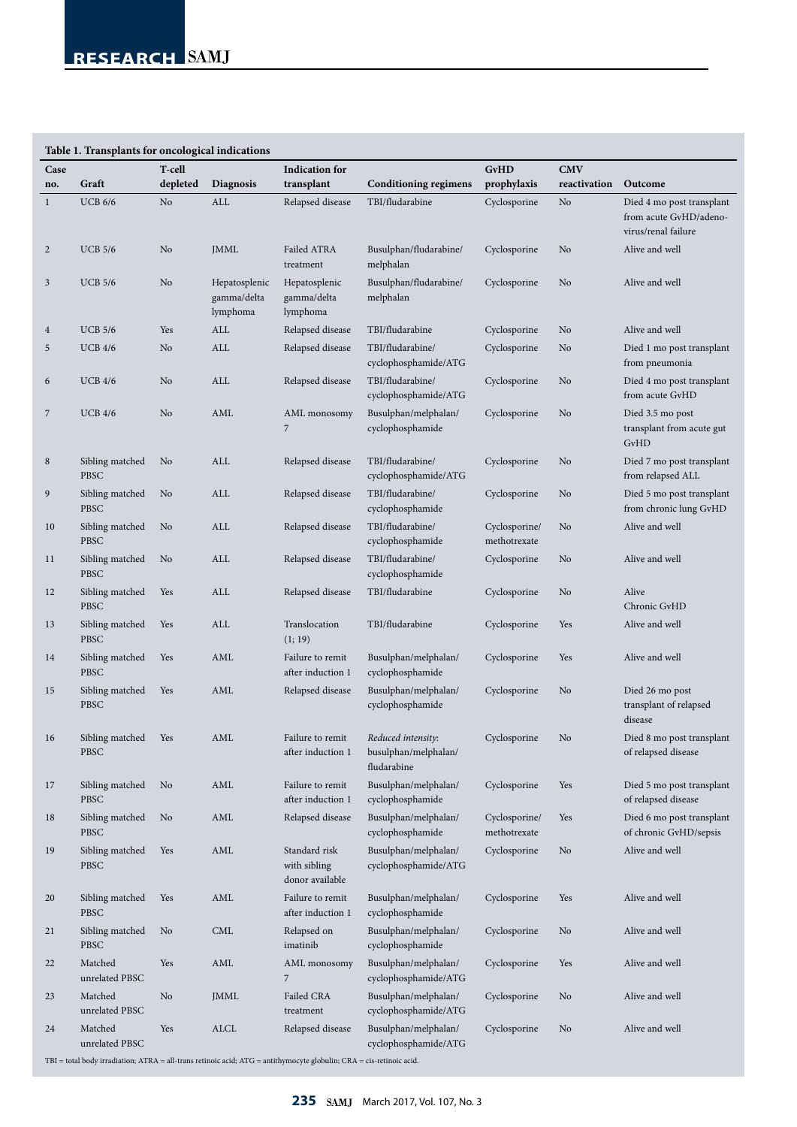| Case           |                                | T-cell   |                                          | <b>Indication</b> for                            |                                                           | <b>GvHD</b>                   | <b>CMV</b>   |                                                                            |
|----------------|--------------------------------|----------|------------------------------------------|--------------------------------------------------|-----------------------------------------------------------|-------------------------------|--------------|----------------------------------------------------------------------------|
| no.            | Graft                          | depleted | <b>Diagnosis</b>                         | transplant                                       | <b>Conditioning regimens</b>                              | prophylaxis                   | reactivation | Outcome                                                                    |
| $\mathbf{1}$   | <b>UCB 6/6</b>                 | No       | ALL                                      | Relapsed disease                                 | TBI/fludarabine                                           | Cyclosporine                  | No           | Died 4 mo post transplant<br>from acute GvHD/adeno-<br>virus/renal failure |
| $\overline{2}$ | <b>UCB 5/6</b>                 | No       | JMML                                     | Failed ATRA<br>treatment                         | Busulphan/fludarabine/<br>melphalan                       | Cyclosporine                  | No           | Alive and well                                                             |
| 3              | <b>UCB 5/6</b>                 | No       | Hepatosplenic<br>gamma/delta<br>lymphoma | Hepatosplenic<br>gamma/delta<br>lymphoma         | Busulphan/fludarabine/<br>melphalan                       | Cyclosporine                  | No           | Alive and well                                                             |
| $\overline{4}$ | <b>UCB 5/6</b>                 | Yes      | ALL                                      | Relapsed disease                                 | TBI/fludarabine                                           | Cyclosporine                  | No           | Alive and well                                                             |
| 5              | UCB 4/6                        | No       | ALL                                      | Relapsed disease                                 | TBI/fludarabine/<br>cyclophosphamide/ATG                  | Cyclosporine                  | No           | Died 1 mo post transplant<br>from pneumonia                                |
| 6              | <b>UCB 4/6</b>                 | No       | ALL                                      | Relapsed disease                                 | TBI/fludarabine/<br>cyclophosphamide/ATG                  | Cyclosporine                  | No           | Died 4 mo post transplant<br>from acute GvHD                               |
| 7              | <b>UCB 4/6</b>                 | No       | AML                                      | AML monosomy<br>7                                | Busulphan/melphalan/<br>cyclophosphamide                  | Cyclosporine                  | No           | Died 3.5 mo post<br>transplant from acute gut<br>GvHD                      |
| $\,8\,$        | Sibling matched<br>PBSC        | No       | ALL                                      | Relapsed disease                                 | TBI/fludarabine/<br>cyclophosphamide/ATG                  | Cyclosporine                  | No           | Died 7 mo post transplant<br>from relapsed ALL                             |
| 9              | Sibling matched<br>PBSC        | No       | ALL                                      | Relapsed disease                                 | TBI/fludarabine/<br>cyclophosphamide                      | Cyclosporine                  | No           | Died 5 mo post transplant<br>from chronic lung GvHD                        |
| 10             | Sibling matched<br>PBSC        | No       | ALL                                      | Relapsed disease                                 | TBI/fludarabine/<br>cyclophosphamide                      | Cyclosporine/<br>methotrexate | No           | Alive and well                                                             |
| 11             | Sibling matched<br>PBSC        | No       | ALL                                      | Relapsed disease                                 | TBI/fludarabine/<br>cyclophosphamide                      | Cyclosporine                  | No           | Alive and well                                                             |
| 12             | Sibling matched<br>PBSC        | Yes      | ALL                                      | Relapsed disease                                 | TBI/fludarabine                                           | Cyclosporine                  | No           | Alive<br>Chronic GvHD                                                      |
| 13             | Sibling matched<br>PBSC        | Yes      | ALL                                      | Translocation<br>(1; 19)                         | TBI/fludarabine                                           | Cyclosporine                  | Yes          | Alive and well                                                             |
| 14             | Sibling matched<br><b>PBSC</b> | Yes      | AML                                      | Failure to remit<br>after induction 1            | Busulphan/melphalan/<br>cyclophosphamide                  | Cyclosporine                  | Yes          | Alive and well                                                             |
| 15             | Sibling matched<br>PBSC        | Yes      | AML                                      | Relapsed disease                                 | Busulphan/melphalan/<br>cyclophosphamide                  | Cyclosporine                  | No           | Died 26 mo post<br>transplant of relapsed<br>disease                       |
| 16             | Sibling matched Yes<br>PBSC    |          | AML                                      | Failure to remit<br>after induction 1            | Reduced intensity:<br>busulphan/melphalan/<br>fludarabine | Cyclosporine                  | No           | Died 8 mo post transplant<br>of relapsed disease                           |
| 17             | Sibling matched<br>PBSC        | No       | AML                                      | Failure to remit<br>after induction 1            | Busulphan/melphalan/<br>cyclophosphamide                  | Cyclosporine                  | Yes          | Died 5 mo post transplant<br>of relapsed disease                           |
| 18             | Sibling matched<br>PBSC        | No       | AML                                      | Relapsed disease                                 | Busulphan/melphalan/<br>cyclophosphamide                  | Cyclosporine/<br>methotrexate | Yes          | Died 6 mo post transplant<br>of chronic GvHD/sepsis                        |
| 19             | Sibling matched<br>PBSC        | Yes      | AML                                      | Standard risk<br>with sibling<br>donor available | Busulphan/melphalan/<br>cyclophosphamide/ATG              | Cyclosporine                  | No           | Alive and well                                                             |
| 20             | Sibling matched<br>PBSC        | Yes      | AML                                      | Failure to remit<br>after induction 1            | Busulphan/melphalan/<br>cyclophosphamide                  | Cyclosporine                  | Yes          | Alive and well                                                             |
| 21             | Sibling matched<br>PBSC        | No       | <b>CML</b>                               | Relapsed on<br>imatinib                          | Busulphan/melphalan/<br>cyclophosphamide                  | Cyclosporine                  | No           | Alive and well                                                             |
| 22             | Matched<br>unrelated PBSC      | Yes      | AML                                      | AML monosomy<br>7                                | Busulphan/melphalan/<br>cyclophosphamide/ATG              | Cyclosporine                  | Yes          | Alive and well                                                             |
| 23             | Matched<br>unrelated PBSC      | No       | JMML                                     | Failed CRA<br>treatment                          | Busulphan/melphalan/<br>cyclophosphamide/ATG              | Cyclosporine                  | No           | Alive and well                                                             |
| 24             | Matched<br>unrelated PBSC      | Yes      | $\operatorname{ALCL}$                    | Relapsed disease                                 | Busulphan/melphalan/<br>cyclophosphamide/ATG              | Cyclosporine                  | No           | Alive and well                                                             |

 $\mbox{TBI} = \mbox{total body irradiation; ATRA = all-trans retionic acid; ATG = antithymocyte globulin; CRA = cis-retinoic acid.}$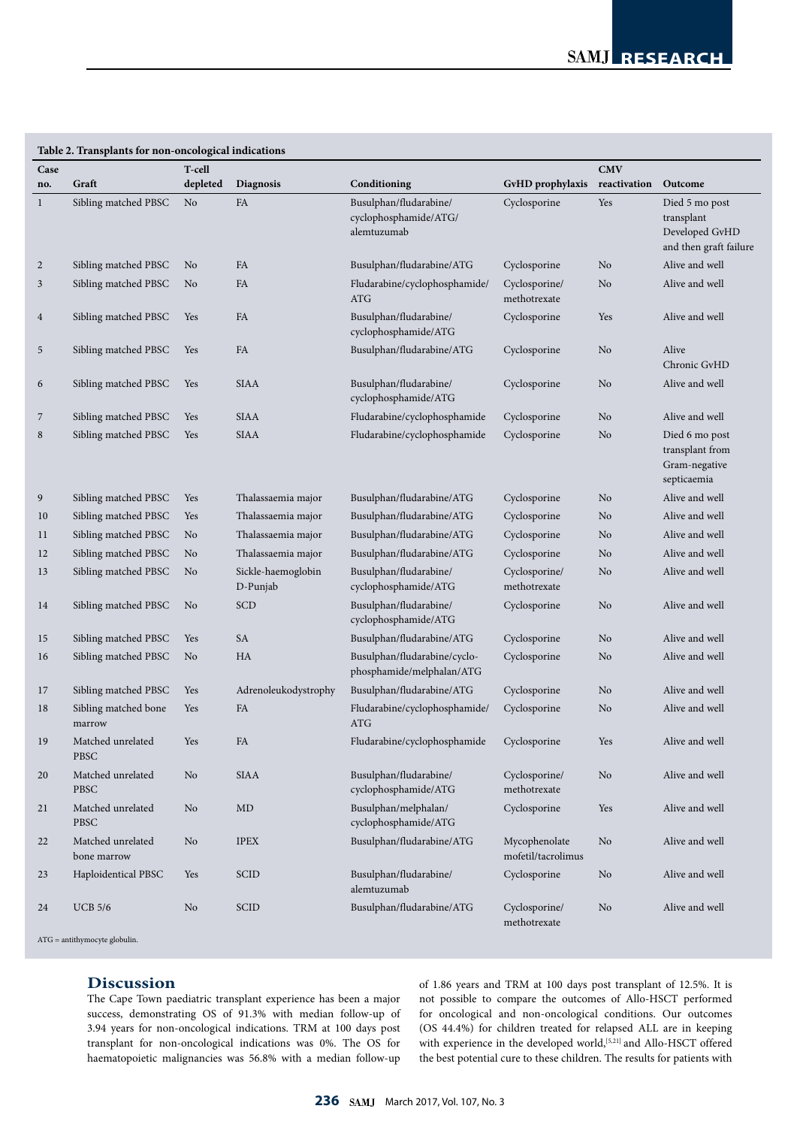| Table 2. Transplants for non-oncological indications |                                  |          |                                |                                                                |                                     |                |                                                                          |  |  |  |  |
|------------------------------------------------------|----------------------------------|----------|--------------------------------|----------------------------------------------------------------|-------------------------------------|----------------|--------------------------------------------------------------------------|--|--|--|--|
| Case                                                 |                                  | T-cell   |                                |                                                                |                                     | <b>CMV</b>     |                                                                          |  |  |  |  |
| no.                                                  | Graft                            | depleted | <b>Diagnosis</b>               | Conditioning                                                   | GvHD prophylaxis                    | reactivation   | Outcome                                                                  |  |  |  |  |
| 1                                                    | Sibling matched PBSC             | No       | FA                             | Busulphan/fludarabine/<br>cyclophosphamide/ATG/<br>alemtuzumab | Cyclosporine                        | Yes            | Died 5 mo post<br>transplant<br>Developed GvHD<br>and then graft failure |  |  |  |  |
| 2                                                    | Sibling matched PBSC             | No       | FA                             | Busulphan/fludarabine/ATG                                      | Cyclosporine                        | No             | Alive and well                                                           |  |  |  |  |
| 3                                                    | Sibling matched PBSC             | No       | FA                             | Fludarabine/cyclophosphamide/<br>ATG                           | Cyclosporine/<br>methotrexate       | No             | Alive and well                                                           |  |  |  |  |
| 4                                                    | Sibling matched PBSC             | Yes      | FA                             | Busulphan/fludarabine/<br>cyclophosphamide/ATG                 | Cyclosporine                        | Yes            | Alive and well                                                           |  |  |  |  |
| 5                                                    | Sibling matched PBSC             | Yes      | FA                             | Busulphan/fludarabine/ATG                                      | Cyclosporine                        | No             | Alive<br>Chronic GvHD                                                    |  |  |  |  |
| 6                                                    | Sibling matched PBSC             | Yes      | <b>SIAA</b>                    | Busulphan/fludarabine/<br>cyclophosphamide/ATG                 | Cyclosporine                        | No             | Alive and well                                                           |  |  |  |  |
| 7                                                    | Sibling matched PBSC             | Yes      | <b>SIAA</b>                    | Fludarabine/cyclophosphamide                                   | Cyclosporine                        | No             | Alive and well                                                           |  |  |  |  |
| 8                                                    | Sibling matched PBSC             | Yes      | <b>SIAA</b>                    | Fludarabine/cyclophosphamide                                   | Cyclosporine                        | No             | Died 6 mo post<br>transplant from<br>Gram-negative<br>septicaemia        |  |  |  |  |
| 9                                                    | Sibling matched PBSC             | Yes      | Thalassaemia major             | Busulphan/fludarabine/ATG                                      | Cyclosporine                        | No             | Alive and well                                                           |  |  |  |  |
| 10                                                   | Sibling matched PBSC             | Yes      | Thalassaemia major             | Busulphan/fludarabine/ATG                                      | Cyclosporine                        | No             | Alive and well                                                           |  |  |  |  |
| 11                                                   | Sibling matched PBSC             | No       | Thalassaemia major             | Busulphan/fludarabine/ATG                                      | Cyclosporine                        | No             | Alive and well                                                           |  |  |  |  |
| 12                                                   | Sibling matched PBSC             | No       | Thalassaemia major             | Busulphan/fludarabine/ATG                                      | Cyclosporine                        | No             | Alive and well                                                           |  |  |  |  |
| 13                                                   | Sibling matched PBSC             | No       | Sickle-haemoglobin<br>D-Punjab | Busulphan/fludarabine/<br>cyclophosphamide/ATG                 | Cyclosporine/<br>methotrexate       | No             | Alive and well                                                           |  |  |  |  |
| 14                                                   | Sibling matched PBSC             | No       | <b>SCD</b>                     | Busulphan/fludarabine/<br>cyclophosphamide/ATG                 | Cyclosporine                        | No             | Alive and well                                                           |  |  |  |  |
| 15                                                   | Sibling matched PBSC             | Yes      | SA                             | Busulphan/fludarabine/ATG                                      | Cyclosporine                        | No             | Alive and well                                                           |  |  |  |  |
| 16                                                   | Sibling matched PBSC             | No       | HA                             | Busulphan/fludarabine/cyclo-<br>phosphamide/melphalan/ATG      | Cyclosporine                        | No             | Alive and well                                                           |  |  |  |  |
| 17                                                   | Sibling matched PBSC             | Yes      | Adrenoleukodystrophy           | Busulphan/fludarabine/ATG                                      | Cyclosporine                        | No             | Alive and well                                                           |  |  |  |  |
| 18                                                   | Sibling matched bone<br>marrow   | Yes      | FA                             | Fludarabine/cyclophosphamide/<br>ATG                           | Cyclosporine                        | No             | Alive and well                                                           |  |  |  |  |
| 19                                                   | Matched unrelated<br>PBSC        | Yes      | FA                             | $\operatorname{Fludarabine/cyclophosphamide}$                  | Cyclosporine                        | Yes            | Alive and well                                                           |  |  |  |  |
| 20                                                   | Matched unrelated<br><b>PBSC</b> | No       | SIAA                           | Busulphan/fludarabine/<br>cyclophosphamide/ATG                 | Cyclosporine/<br>methotrexate       | No             | Alive and well                                                           |  |  |  |  |
| 21                                                   | Matched unrelated<br><b>PBSC</b> | No       | MD                             | Busulphan/melphalan/<br>cyclophosphamide/ATG                   | Cyclosporine                        | Yes            | Alive and well                                                           |  |  |  |  |
| 22                                                   | Matched unrelated<br>bone marrow | No       | <b>IPEX</b>                    | Busulphan/fludarabine/ATG                                      | Mycophenolate<br>mofetil/tacrolimus | No             | Alive and well                                                           |  |  |  |  |
| 23                                                   | Haploidentical PBSC              | Yes      | <b>SCID</b>                    | Busulphan/fludarabine/<br>alemtuzumab                          | Cyclosporine                        | N <sub>o</sub> | Alive and well                                                           |  |  |  |  |
| 24                                                   | <b>UCB 5/6</b>                   | No.      | SCID                           | Busulphan/fludarabine/ATG                                      | Cyclosporine/<br>methotrexate       | No             | Alive and well                                                           |  |  |  |  |
|                                                      | ATG = antithymocyte globulin.    |          |                                |                                                                |                                     |                |                                                                          |  |  |  |  |

# **Discussion**

The Cape Town paediatric transplant experience has been a major success, demonstrating OS of 91.3% with median follow-up of 3.94 years for non-oncological indications. TRM at 100 days post transplant for non-oncological indications was 0%. The OS for haematopoietic malignancies was 56.8% with a median follow-up of 1.86 years and TRM at 100 days post transplant of 12.5%. It is not possible to compare the outcomes of Allo-HSCT performed for oncological and non-oncological conditions. Our outcomes (OS 44.4%) for children treated for relapsed ALL are in keeping with experience in the developed world,<sup>[5,21]</sup> and Allo-HSCT offered the best potential cure to these children. The results for patients with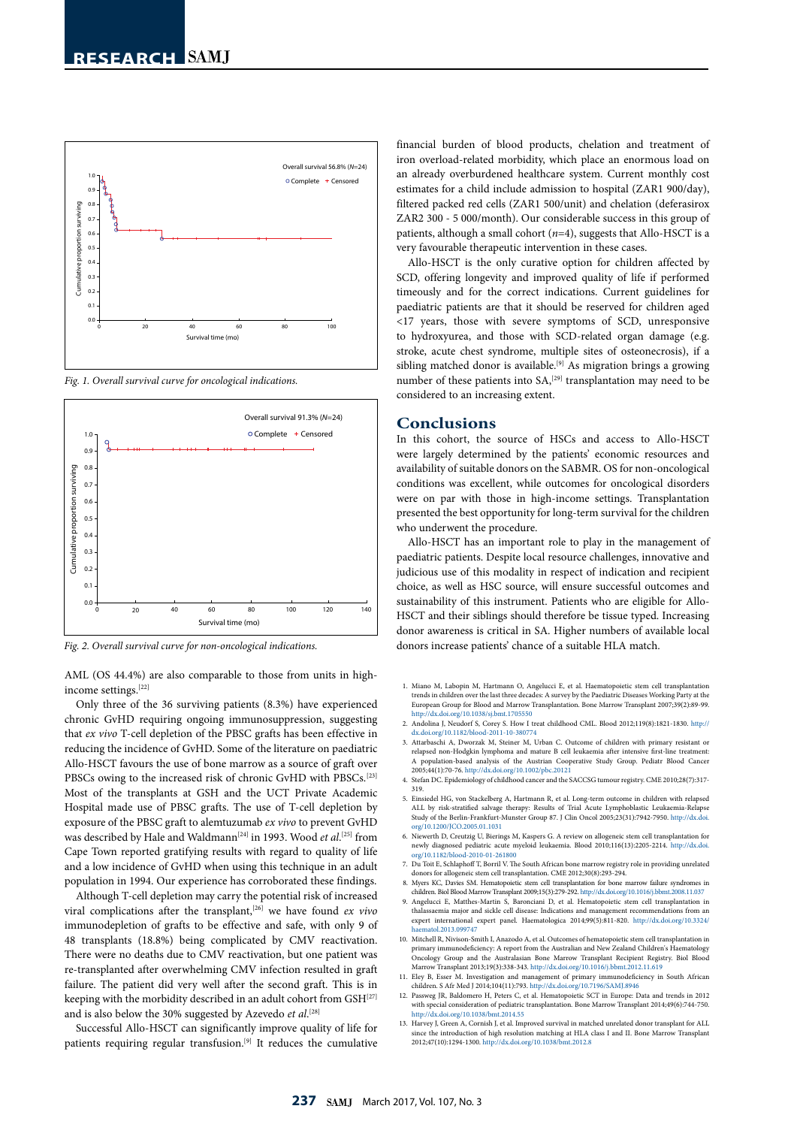

*Fig. 1. Overall survival curve for oncological indications.*



*Fig. 2. Overall survival curve for non-oncological indications.*

AML (OS 44.4%) are also comparable to those from units in highincome settings.[22]

Only three of the 36 surviving patients (8.3%) have experienced chronic GvHD requiring ongoing immunosuppression, suggesting that *ex vivo* T-cell depletion of the PBSC grafts has been effective in reducing the incidence of GvHD. Some of the literature on paediatric Allo-HSCT favours the use of bone marrow as a source of graft over PBSCs owing to the increased risk of chronic GvHD with PBSCs.[23] Most of the transplants at GSH and the UCT Private Academic Hospital made use of PBSC grafts. The use of T-cell depletion by exposure of the PBSC graft to alemtuzumab *ex vivo* to prevent GvHD was described by Hale and Waldmann<sup>[24]</sup> in 1993. Wood *et al*.<sup>[25]</sup> from Cape Town reported gratifying results with regard to quality of life and a low incidence of GvHD when using this technique in an adult population in 1994. Our experience has corroborated these findings.

Although T-cell depletion may carry the potential risk of increased viral complications after the transplant,[26] we have found *ex vivo* immunodepletion of grafts to be effective and safe, with only 9 of 48 transplants (18.8%) being complicated by CMV reactivation. There were no deaths due to CMV reactivation, but one patient was re-transplanted after overwhelming CMV infection resulted in graft failure. The patient did very well after the second graft. This is in keeping with the morbidity described in an adult cohort from GSH<sup>[27]</sup> and is also below the 30% suggested by Azevedo *et al*. [28]

Successful Allo-HSCT can significantly improve quality of life for patients requiring regular transfusion.<sup>[9]</sup> It reduces the cumulative

financial burden of blood products, chelation and treatment of iron overload-related morbidity, which place an enormous load on an already overburdened healthcare system. Current monthly cost estimates for a child include admission to hospital (ZAR1 900/day), filtered packed red cells (ZAR1 500/unit) and chelation (deferasirox ZAR2 300 - 5 000/month). Our considerable success in this group of patients, although a small cohort (*n*=4), suggests that Allo-HSCT is a very favourable therapeutic intervention in these cases.

Allo-HSCT is the only curative option for children affected by SCD, offering longevity and improved quality of life if performed timeously and for the correct indications. Current guidelines for paediatric patients are that it should be reserved for children aged <17 years, those with severe symptoms of SCD, unresponsive to hydroxyurea, and those with SCD-related organ damage (e.g. stroke, acute chest syndrome, multiple sites of osteonecrosis), if a sibling matched donor is available.<sup>[9]</sup> As migration brings a growing number of these patients into SA,<sup>[29]</sup> transplantation may need to be considered to an increasing extent.

#### **Conclusions**

In this cohort, the source of HSCs and access to Allo-HSCT were largely determined by the patients' economic resources and availability of suitable donors on the SABMR. OS for non-oncological conditions was excellent, while outcomes for oncological disorders were on par with those in high-income settings. Transplantation presented the best opportunity for long-term survival for the children who underwent the procedure.

Allo-HSCT has an important role to play in the management of paediatric patients. Despite local resource challenges, innovative and judicious use of this modality in respect of indication and recipient choice, as well as HSC source, will ensure successful outcomes and sustainability of this instrument. Patients who are eligible for Allo-HSCT and their siblings should therefore be tissue typed. Increasing donor awareness is critical in SA. Higher numbers of available local donors increase patients' chance of a suitable HLA match.

- 1. Miano M, Labopin M, Hartmann O, Angelucci E, et al. Haematopoietic stem cell transplantation trends in children over the last three decades: A survey by the Paediatric Diseases Working Party at the European Group for Blood and Marrow Transplantation. Bone Marrow Transplant 2007;39(2):89-99. http://dx.doi.org/10.1038/sj.bmt.1705550
- 2. Andolina J, Neudorf S, Corey S. How I treat childhood CML. Blood 2012;119(8):1821-1830. [http://](http://dx.doi.org/10.1182/blood-2011-10-380774 ) [dx.doi.org/10.1182/blood-2011-10-380774](http://dx.doi.org/10.1182/blood-2011-10-380774 )
- 3. Attarbaschi A, Dworzak M, Steiner M, Urban C. Outcome of children with primary resistant or relapsed non-Hodgkin lymphoma and mature B cell leukaemia after intensive first-line treatment: A population-based analysis of the Austrian Cooperative Study Group. Pediatr Blood Cancer 2005;44(1):70-76. http://dx.doi.org/10.1002/pbc.20121
- 4. Stefan DC. Epidemiology of childhood cancer and the SACCSG tumour registry. CME 2010;28(7):317- 319.
- 5. Einsiedel HG, von Stackelberg A, Hartmann R, et al. Long-term outcome in children with relapsed ALL by risk-stratified salvage therapy: Results of Trial Acute Lymphoblastic Leukaemia-Relapse Study of the Berlin-Frankfurt-Munster Group 87. J Clin Oncol 2005;23(31):7942-7950. [http://dx.doi.](http://dx.doi.org/10.1200/JCO.2005.01.1031 ) [org/10.1200/JCO.2005.01.1031](http://dx.doi.org/10.1200/JCO.2005.01.1031 )
- 6. Niewerth D, Creutzig U, Bierings M, Kaspers G. A review on allogeneic stem cell transplantation for newly diagnosed pediatric acute myeloid leukaemia. Blood 2010;116(13):2205-2214. [http://dx.doi.](http://dx.doi.org/10.1182/blood-2010-01-261800 )<br>org/10.1182/blood-2010-
- 7. Du Toit E, Schlaphoff T, Borril V. The South African bone marrow registry role in providing unrelated donors for allogeneic stem cell transplantation. CME 2012;30(8):293-294. 8. Myers KC, Davies SM. Hematopoietic stem cell transplantation for bone marrow failure syndromes in
- children. Biol Blood Marrow Transplant 2009;15(3):279-292. http://dx.doi.org/10.1016/j.bbmt.2008.11.037 9. Angelucci E, Matthes-Martin S, Baronciani D, et al. Hematopoietic stem cell transplantation in
- thalassaemia major and sickle cell disease: Indications and management recommendations from an expert international expert panel. Haematologica 2014;99(5):811-820. [http://dx.doi.org/10.3324/](http://dx.doi.org/10.3324/haematol.2013.099747 ) matol.2013.099747
- 10. Mitchell R, Nivison-Smith I, Anazodo A, et al. Outcomes of hematopoietic stem cell transplantation in primary immunodeficiency: A report from the Australian and New Zealand Children's Haematology Oncology Group and the Australasian Bone Marrow Transplant Recipient Registry. Biol Blood Marrow Transplant 2013;19(3):338-343. http://dx.doi.org/10.1016/j.bbmt.2012.11.619
- 11. Eley B, Esser M. Investigation and management of primary immunodeficiency in South African children. S Afr Med J 2014;104(11):793. http://dx.doi.org/10.7196/SAMJ.8946 12. Passweg JR, Baldomero H, Peters C, et al. Hematopoietic SCT in Europe: Data and trends in 2012
- with special consideration of pediatric transplantation*.* Bone Marrow Transplant 2014;49(6):744-750. http://dx.doi.org/10.1038/bmt.2014.55
- 13. Harvey J, Green A, Cornish J, et al. Improved survival in matched unrelated donor transplant for ALL since the introduction of high resolution matching at HLA class I and II. Bone Marrow Transplant 2012;47(10):1294-1300. http://dx.doi.org/10.1038/bmt.2012.8